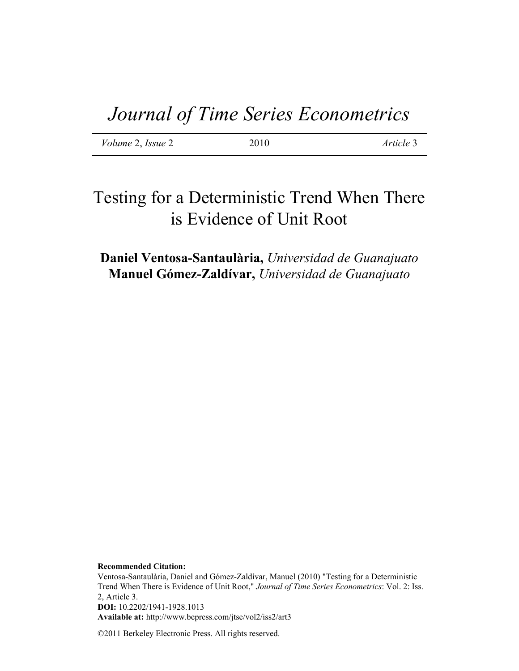| <i>Volume 2, Issue 2</i> | 2010 | Article 3 |
|--------------------------|------|-----------|
|--------------------------|------|-----------|

# Testing for a Deterministic Trend When There is Evidence of Unit Root

## **Daniel Ventosa-Santaulària,** *Universidad de Guanajuato* **Manuel Gómez-Zaldívar,** *Universidad de Guanajuato*

**Recommended Citation:**

Ventosa-Santaulària, Daniel and Gómez-Zaldívar, Manuel (2010) "Testing for a Deterministic Trend When There is Evidence of Unit Root," *Journal of Time Series Econometrics*: Vol. 2: Iss. 2, Article 3. **DOI:** 10.2202/1941-1928.1013

**Available at:** http://www.bepress.com/jtse/vol2/iss2/art3

©2011 Berkeley Electronic Press. All rights reserved.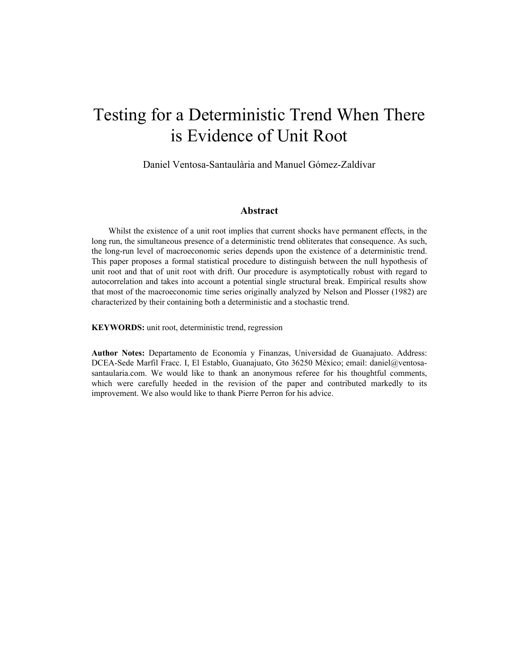# Testing for a Deterministic Trend When There is Evidence of Unit Root

Daniel Ventosa-Santaulària and Manuel Gómez-Zaldívar

#### **Abstract**

Whilst the existence of a unit root implies that current shocks have permanent effects, in the long run, the simultaneous presence of a deterministic trend obliterates that consequence. As such, the long-run level of macroeconomic series depends upon the existence of a deterministic trend. This paper proposes a formal statistical procedure to distinguish between the null hypothesis of unit root and that of unit root with drift. Our procedure is asymptotically robust with regard to autocorrelation and takes into account a potential single structural break. Empirical results show that most of the macroeconomic time series originally analyzed by Nelson and Plosser (1982) are characterized by their containing both a deterministic and a stochastic trend.

**KEYWORDS:** unit root, deterministic trend, regression

**Author Notes:** Departamento de Economía y Finanzas, Universidad de Guanajuato. Address: DCEA-Sede Marfil Fracc. I, El Establo, Guanajuato, Gto 36250 México; email: daniel@ventosasantaularia.com. We would like to thank an anonymous referee for his thoughtful comments, which were carefully heeded in the revision of the paper and contributed markedly to its improvement. We also would like to thank Pierre Perron for his advice.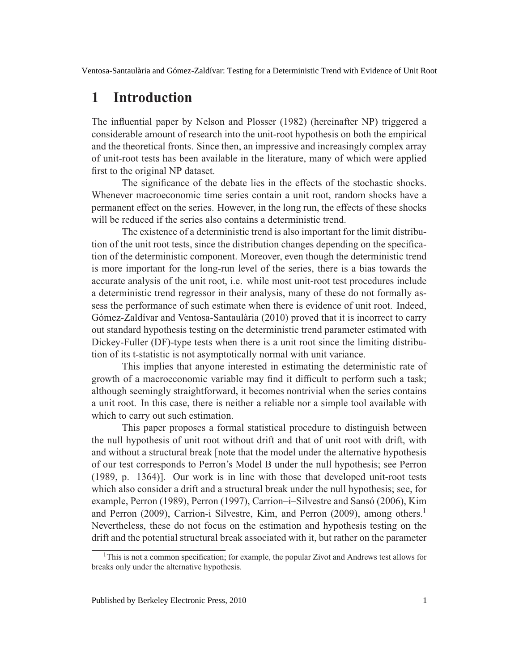### **1 Introduction**

The influential paper by Nelson and Plosser (1982) (hereinafter NP) triggered a considerable amount of research into the unit-root hypothesis on both the empirical and the theoretical fronts. Since then, an impressive and increasingly complex array of unit-root tests has been available in the literature, many of which were applied first to the original NP dataset.

The significance of the debate lies in the effects of the stochastic shocks. Whenever macroeconomic time series contain a unit root, random shocks have a permanent effect on the series. However, in the long run, the effects of these shocks will be reduced if the series also contains a deterministic trend.

The existence of a deterministic trend is also important for the limit distribution of the unit root tests, since the distribution changes depending on the specification of the deterministic component. Moreover, even though the deterministic trend is more important for the long-run level of the series, there is a bias towards the accurate analysis of the unit root, i.e. while most unit-root test procedures include a deterministic trend regressor in their analysis, many of these do not formally assess the performance of such estimate when there is evidence of unit root. Indeed, Gómez-Zaldívar and Ventosa-Santaulària  $(2010)$  proved that it is incorrect to carry out standard hypothesis testing on the deterministic trend parameter estimated with Dickey-Fuller (DF)-type tests when there is a unit root since the limiting distribution of its t-statistic is not asymptotically normal with unit variance.

This implies that anyone interested in estimating the deterministic rate of growth of a macroeconomic variable may find it difficult to perform such a task; although seemingly straightforward, it becomes nontrivial when the series contains a unit root. In this case, there is neither a reliable nor a simple tool available with which to carry out such estimation.

This paper proposes a formal statistical procedure to distinguish between the null hypothesis of unit root without drift and that of unit root with drift, with and without a structural break [note that the model under the alternative hypothesis of our test corresponds to Perron's Model B under the null hypothesis; see Perron (1989, p. 1364)]. Our work is in line with those that developed unit-root tests which also consider a drift and a structural break under the null hypothesis; see, for example, Perron (1989), Perron (1997), Carrion–i–Silvestre and Sansó (2006), Kim and Perron (2009), Carrion-i Silvestre, Kim, and Perron (2009), among others.<sup>1</sup> Nevertheless, these do not focus on the estimation and hypothesis testing on the drift and the potential structural break associated with it, but rather on the parameter

<sup>1</sup>This is not a common specification; for example, the popular Zivot and Andrews test allows for breaks only under the alternative hypothesis.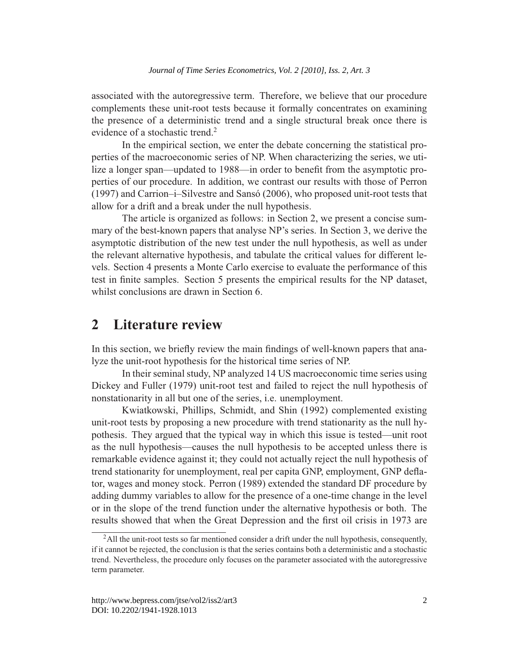associated with the autoregressive term. Therefore, we believe that our procedure complements these unit-root tests because it formally concentrates on examining the presence of a deterministic trend and a single structural break once there is evidence of a stochastic trend.<sup>2</sup>

In the empirical section, we enter the debate concerning the statistical properties of the macroeconomic series of NP. When characterizing the series, we utilize a longer span—updated to 1988—in order to benefit from the asymptotic properties of our procedure. In addition, we contrast our results with those of Perron  $(1997)$  and Carrion–i–Silvestre and Sansó  $(2006)$ , who proposed unit-root tests that allow for a drift and a break under the null hypothesis.

The article is organized as follows: in Section 2, we present a concise summary of the best-known papers that analyse NP's series. In Section 3, we derive the asymptotic distribution of the new test under the null hypothesis, as well as under the relevant alternative hypothesis, and tabulate the critical values for different levels. Section 4 presents a Monte Carlo exercise to evaluate the performance of this test in finite samples. Section 5 presents the empirical results for the NP dataset, whilst conclusions are drawn in Section 6.

### **2 Literature review**

In this section, we briefly review the main findings of well-known papers that analyze the unit-root hypothesis for the historical time series of NP.

In their seminal study, NP analyzed 14 US macroeconomic time series using Dickey and Fuller (1979) unit-root test and failed to reject the null hypothesis of nonstationarity in all but one of the series, i.e. unemployment.

Kwiatkowski, Phillips, Schmidt, and Shin (1992) complemented existing unit-root tests by proposing a new procedure with trend stationarity as the null hypothesis. They argued that the typical way in which this issue is tested—unit root as the null hypothesis—causes the null hypothesis to be accepted unless there is remarkable evidence against it; they could not actually reject the null hypothesis of trend stationarity for unemployment, real per capita GNP, employment, GNP deflator, wages and money stock. Perron (1989) extended the standard DF procedure by adding dummy variables to allow for the presence of a one-time change in the level or in the slope of the trend function under the alternative hypothesis or both. The results showed that when the Great Depression and the first oil crisis in 1973 are

<sup>&</sup>lt;sup>2</sup>All the unit-root tests so far mentioned consider a drift under the null hypothesis, consequently, if it cannot be rejected, the conclusion is that the series contains both a deterministic and a stochastic trend. Nevertheless, the procedure only focuses on the parameter associated with the autoregressive term parameter.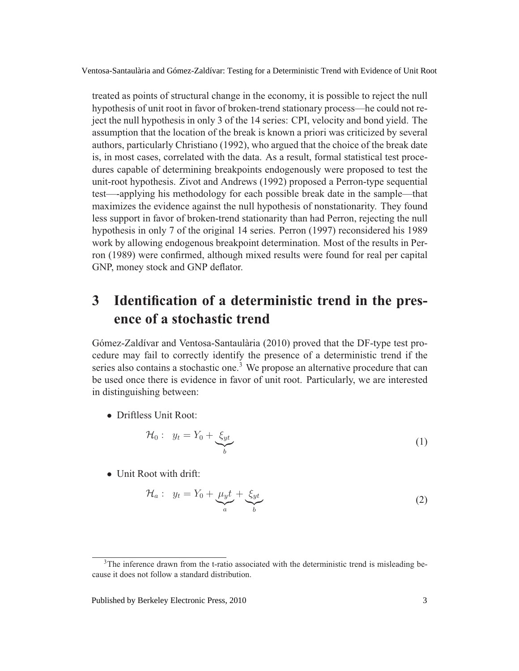treated as points of structural change in the economy, it is possible to reject the null hypothesis of unit root in favor of broken-trend stationary process—he could not reject the null hypothesis in only 3 of the 14 series: CPI, velocity and bond yield. The assumption that the location of the break is known a priori was criticized by several authors, particularly Christiano (1992), who argued that the choice of the break date is, in most cases, correlated with the data. As a result, formal statistical test procedures capable of determining breakpoints endogenously were proposed to test the unit-root hypothesis. Zivot and Andrews (1992) proposed a Perron-type sequential test—-applying his methodology for each possible break date in the sample—that maximizes the evidence against the null hypothesis of nonstationarity. They found less support in favor of broken-trend stationarity than had Perron, rejecting the null hypothesis in only 7 of the original 14 series. Perron (1997) reconsidered his 1989 work by allowing endogenous breakpoint determination. Most of the results in Perron (1989) were confirmed, although mixed results were found for real per capital GNP, money stock and GNP deflator.

## **3 Identification of a deterministic trend in the presence of a stochastic trend**

Gómez-Zaldívar and Ventosa-Santaulària (2010) proved that the DF-type test procedure may fail to correctly identify the presence of a deterministic trend if the series also contains a stochastic one.<sup>3</sup> We propose an alternative procedure that can be used once there is evidence in favor of unit root. Particularly, we are interested in distinguishing between:

• Driftless Unit Root:

$$
\mathcal{H}_0: y_t = Y_0 + \underbrace{\xi_{yt}}_b \tag{1}
$$

• Unit Root with drift:

$$
\mathcal{H}_a: y_t = Y_0 + \underbrace{\mu_y t}_{a} + \underbrace{\xi_{yt}}_{b} \tag{2}
$$

 $3$ The inference drawn from the t-ratio associated with the deterministic trend is misleading because it does not follow a standard distribution.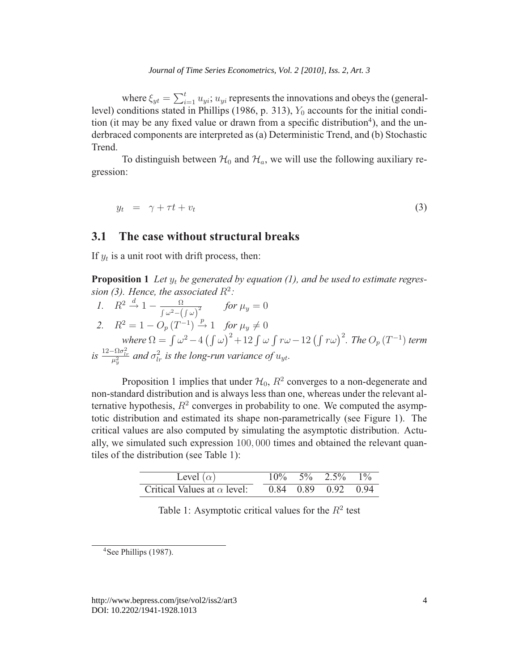where  $\xi_{yt} = \sum_{i=1}^t u_{yi}$ ;  $u_{yi}$  represents the innovations and obeys the (general-<br>onditions stated in Phillips (1986, n. 313).  $V_2$  accounts for the initial condilevel) conditions stated in Phillips (1986, p. 313),  $Y_0$  accounts for the initial condition (it may be any fixed value or drawn from a specific distribution<sup>4</sup>), and the underbraced components are interpreted as (a) Deterministic Trend, and (b) Stochastic Trend.

To distinguish between  $\mathcal{H}_0$  and  $\mathcal{H}_a$ , we will use the following auxiliary regression:

$$
y_t = \gamma + \tau t + v_t \tag{3}
$$

#### **3.1 The case without structural breaks**

If  $y_t$  is a unit root with drift process, then:

**Proposition 1** Let  $y_t$  be generated by equation (1), and be used to estimate regres*sion (3). Hence, the associated*  $R^2$ :

*1.*  $R^2 \stackrel{d}{\rightarrow} 1 - \frac{\Omega}{\int \omega^2 - (1 + \Omega)^2}$  $\int \frac{\Omega}{\int \omega^2 - (\int \omega)^2}$  *for*  $\mu_y = 0$ 2.  $R^2 = 1 - O_p(T^{-1}) \stackrel{p}{\rightarrow} 1$  *for*  $\mu_y \neq 0$ *where*  $\Omega = \int \omega^2 - 4 \left( \int \omega \right)^2 + 12 \int \omega \int r \omega - 12 \left( \int r \omega \right)^2$ . *The*  $O_p(T^{-1})$  *term*  $\frac{r^2}{L^2}$ is  $\frac{12-\Omega\sigma_{tr}^2}{\mu_y^2}$  and  $\sigma_{lr}^2$  is the long-run variance of  $u_{yt}$ .

Proposition 1 implies that under  $\mathcal{H}_0$ ,  $R^2$  converges to a non-degenerate and non-standard distribution and is always less than one, whereas under the relevant alternative hypothesis,  $R^2$  converges in probability to one. We computed the asymptotic distribution and estimated its shape non-parametrically (see Figure 1). The critical values are also computed by simulating the asymptotic distribution. Actually, we simulated such expression <sup>100</sup>, <sup>000</sup> times and obtained the relevant quantiles of the distribution (see Table 1):

| Level $(\alpha)$                   |                     | $10\%$ 5% $2.5\%$ 1% |  |
|------------------------------------|---------------------|----------------------|--|
| Critical Values at $\alpha$ level: | 0.84 0.89 0.92 0.94 |                      |  |
|                                    |                     |                      |  |

|  |  | Table 1: Asymptotic critical values for the $R^2$ test |  |  |  |
|--|--|--------------------------------------------------------|--|--|--|
|  |  |                                                        |  |  |  |

4See Phillips (1987).

http://www.bepress.com/jtse/vol2/iss2/art3 DOI: 10.2202/1941-1928.1013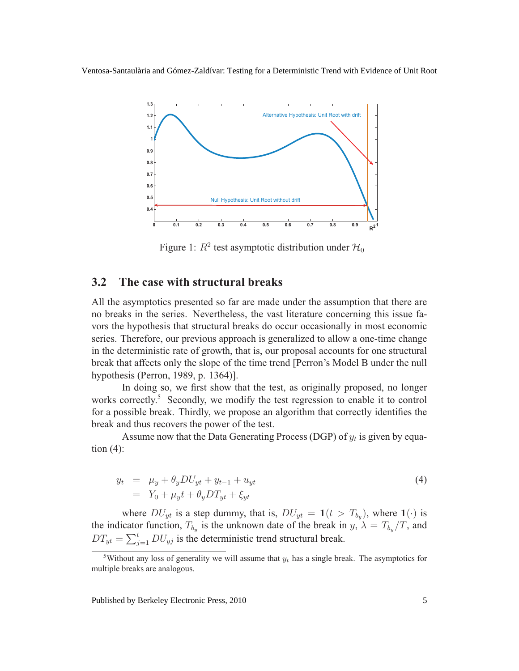

Figure 1:  $R^2$  test asymptotic distribution under  $\mathcal{H}_0$ 

#### **3.2 The case with structural breaks**

All the asymptotics presented so far are made under the assumption that there are no breaks in the series. Nevertheless, the vast literature concerning this issue favors the hypothesis that structural breaks do occur occasionally in most economic series. Therefore, our previous approach is generalized to allow a one-time change in the deterministic rate of growth, that is, our proposal accounts for one structural break that affects only the slope of the time trend [Perron's Model B under the null hypothesis (Perron, 1989, p. 1364)].

In doing so, we first show that the test, as originally proposed, no longer works correctly.<sup>5</sup> Secondly, we modify the test regression to enable it to control for a possible break. Thirdly, we propose an algorithm that correctly identifies the break and thus recovers the power of the test.

Assume now that the Data Generating Process (DGP) of  $y_t$  is given by equation  $(4)$ :

$$
y_t = \mu_y + \theta_y DU_{yt} + y_{t-1} + u_{yt}
$$
  
=  $Y_0 + \mu_y t + \theta_y DT_{yt} + \xi_{yt}$  (4)

where  $DU_{yt}$  is a step dummy, that is,  $DU_{yt} = 1(t > T_{b_y})$ , where  $1(\cdot)$  is the indicator function,  $T_{b_y}$  is the unknown date of the break in  $y$ ,  $\lambda = T_{b_y}/T$ , and  $DT_{yt} = \sum_{j=1}^{t} DU_{yj}$  is the deterministic trend structural break.

<sup>&</sup>lt;sup>5</sup>Without any loss of generality we will assume that  $y_t$  has a single break. The asymptotics for multiple breaks are analogous.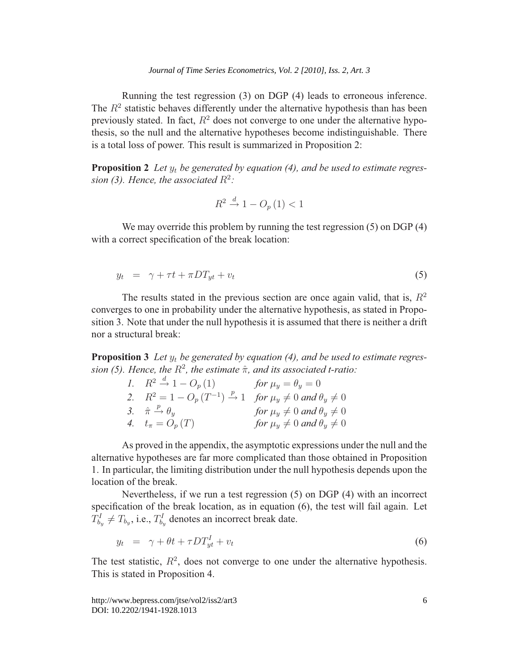Running the test regression (3) on DGP (4) leads to erroneous inference. The  $R<sup>2</sup>$  statistic behaves differently under the alternative hypothesis than has been previously stated. In fact,  $R^2$  does not converge to one under the alternative hypothesis, so the null and the alternative hypotheses become indistinguishable. There is a total loss of power. This result is summarized in Proposition 2:

**Proposition 2** Let  $y_t$  be generated by equation (4), and be used to estimate regres*sion (3). Hence, the associated* R<sup>2</sup>*:*

$$
R^2 \stackrel{d}{\rightarrow} 1 - O_p(1) < 1
$$

We may override this problem by running the test regression (5) on DGP (4) with a correct specification of the break location:

$$
y_t = \gamma + \tau t + \pi DT_{yt} + v_t \tag{5}
$$

The results stated in the previous section are once again valid, that is,  $R^2$ converges to one in probability under the alternative hypothesis, as stated in Proposition 3. Note that under the null hypothesis it is assumed that there is neither a drift nor a structural break:

**Proposition 3** Let  $y_t$  be generated by equation (4), and be used to estimate regres*sion (5). Hence, the*  $R^2$ *, the estimate*  $\hat{\pi}$ *, and its associated t-ratio:* 

| 1. $R^2 \stackrel{d}{\to} 1 - O_p(1)$ for $\mu_y = \theta_y = 0$                        |                                          |
|-----------------------------------------------------------------------------------------|------------------------------------------|
| 2. $R^2 = 1 - O_p(T^{-1}) \stackrel{p}{\to} 1$ for $\mu_y \neq 0$ and $\theta_y \neq 0$ |                                          |
| 3. $\hat{\pi} \stackrel{p}{\rightarrow} \theta_u$                                       | for $\mu_y \neq 0$ and $\theta_y \neq 0$ |
| 4. $t_{\pi} = O_p(T)$                                                                   | for $\mu_y \neq 0$ and $\theta_y \neq 0$ |
|                                                                                         |                                          |

As proved in the appendix, the asymptotic expressions under the null and the alternative hypotheses are far more complicated than those obtained in Proposition 1. In particular, the limiting distribution under the null hypothesis depends upon the location of the break.

Nevertheless, if we run a test regression (5) on DGP (4) with an incorrect specification of the break location, as in equation (6), the test will fail again. Let  $\hat{T}_{b_y}^I \neq T_{b_y}$ , i.e.,  $T_{b_y}^I$  denotes an incorrect break date.

$$
y_t = \gamma + \theta t + \tau D T_{yt}^I + v_t \tag{6}
$$

The test statistic,  $R^2$ , does not converge to one under the alternative hypothesis. This is stated in Proposition 4.

http://www.bepress.com/jtse/vol2/iss2/art3 DOI: 10.2202/1941-1928.1013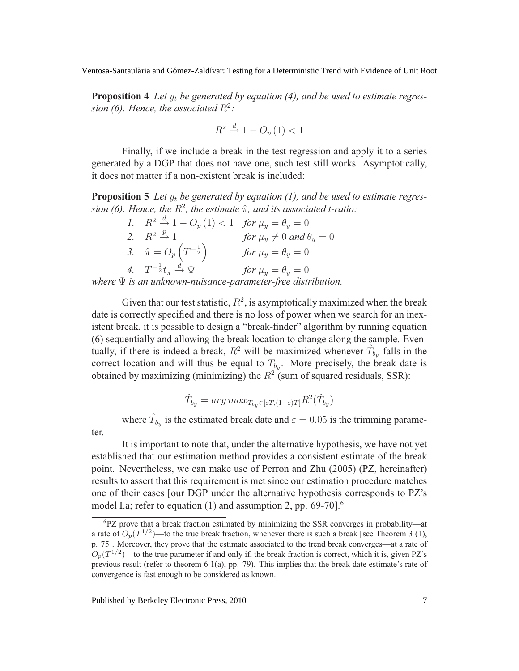**Proposition 4** Let  $y_t$  be generated by equation (4), and be used to estimate regres*sion (6). Hence, the associated*  $R^2$ *:* 

$$
R^2 \xrightarrow{d} 1 - O_p(1) < 1
$$

Finally, if we include a break in the test regression and apply it to a series generated by a DGP that does not have one, such test still works. Asymptotically, it does not matter if a non-existent break is included:

**Proposition 5** Let  $y_t$  be generated by equation (1), and be used to estimate regres*sion (6). Hence, the*  $R^2$ *, the estimate*  $\hat{\pi}$ *, and its associated t-ratio:* 

*1.*  $R^2 \stackrel{d}{\rightarrow} 1 - O_p(1) < 1$  *for*  $\mu_y = \theta_y = 0$  $\stackrel{a}{\rightarrow} 1 - O_p(1) < 1$  *for*  $\mu_y = \theta_y = 0$ 2.  $R^2 \stackrel{p}{\rightarrow} 1$  *for*  $\mu_y \neq 0$  and  $\theta_y = 0$ 3.  $\hat{\pi} = O_p \left( T^{-\frac{1}{2}} \right)$  *for*  $\mu_y = \theta_y = 0$ 4.  $T^{-\frac{1}{2}}t_{\pi}$ <br>*is an unkn* 4.  $T^{-\frac{1}{2}}t_{\pi} \stackrel{d}{\rightarrow} \Psi$  *for*  $\mu_y = \theta_y = 0$ <br>where  $\Psi$  is an unknown-nuisance-parameter-free distribution.

Given that our test statistic,  $R^2$ , is asymptotically maximized when the break date is correctly specified and there is no loss of power when we search for an inexistent break, it is possible to design a "break-finder" algorithm by running equation (6) sequentially and allowing the break location to change along the sample. Eventually, if there is indeed a break,  $R^2$  will be maximized whenever  $\hat{T}_{b_y}$  falls in the correct location and will thus be equal to  $T_b$ . More precisely, the break date is correct location and will thus be equal to  $T_{b_{y}}$ . More precisely, the break date is obtained by maximizing (minimizing) the  $R^2$  (sum of squared residuals, SSR):

$$
\hat{T}_{b_y} = \arg\max_{T_{b_y} \in [\varepsilon T, (1-\varepsilon)T]} R^2(\hat{T}_{b_y})
$$

where  $\hat{T}_{b_y}$  is the estimated break date and  $\varepsilon = 0.05$  is the trimming parame-

It is important to note that, under the alternative hypothesis, we have not yet established that our estimation method provides a consistent estimate of the break point. Nevertheless, we can make use of Perron and Zhu (2005) (PZ, hereinafter) results to assert that this requirement is met since our estimation procedure matches one of their cases [our DGP under the alternative hypothesis corresponds to PZ's model I.a; refer to equation (1) and assumption 2, pp. 69-70].<sup>6</sup>

ter.

<sup>6</sup>PZ prove that a break fraction estimated by minimizing the SSR converges in probability—at a rate of  $O_p(T^{1/2})$ —to the true break fraction, whenever there is such a break [see Theorem 3 (1), p. 75]. Moreover, they prove that the estimate associated to the trend break converges—at a rate of  $O_p(T^{1/2})$ —to the true parameter if and only if, the break fraction is correct, which it is, given PZ's previous result (refer to theorem 6 1(a), pp. 79). This implies that the break date estimate's rate of convergence is fast enough to be considered as known.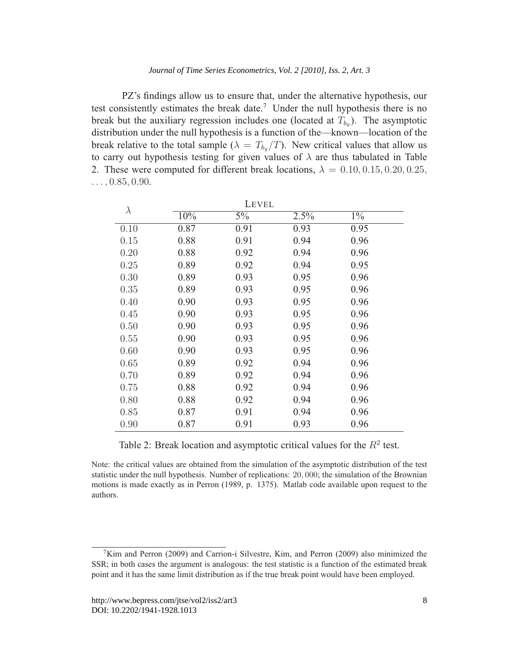#### *Journal of Time Series Econometrics, Vol. 2 [2010], Iss. 2, Art. 3*

PZ's findings allow us to ensure that, under the alternative hypothesis, our test consistently estimates the break date.<sup>7</sup> Under the null hypothesis there is no break but the auxiliary regression includes one (located at  $T_{b_y}$ ). The asymptotic distribution under the null hypothesis is a function of the—known—location of the break relative to the total sample ( $\lambda = T_{b_y}/T$ ). New critical values that allow us to carry out hypothesis testing for given values of  $\lambda$  are thus tabulated in Table 2. These were computed for different break locations,  $\lambda = 0.10, 0.15, 0.20, 0.25,$  $\ldots$ , 0.85, 0.90.

| $\lambda$ |      | LEVEL |      |                  |  |  |  |  |
|-----------|------|-------|------|------------------|--|--|--|--|
|           | 10%  | 5%    | 2.5% | $\overline{1\%}$ |  |  |  |  |
| 0.10      | 0.87 | 0.91  | 0.93 | 0.95             |  |  |  |  |
| 0.15      | 0.88 | 0.91  | 0.94 | 0.96             |  |  |  |  |
| 0.20      | 0.88 | 0.92  | 0.94 | 0.96             |  |  |  |  |
| 0.25      | 0.89 | 0.92  | 0.94 | 0.95             |  |  |  |  |
| 0.30      | 0.89 | 0.93  | 0.95 | 0.96             |  |  |  |  |
| 0.35      | 0.89 | 0.93  | 0.95 | 0.96             |  |  |  |  |
| 0.40      | 0.90 | 0.93  | 0.95 | 0.96             |  |  |  |  |
| 0.45      | 0.90 | 0.93  | 0.95 | 0.96             |  |  |  |  |
| 0.50      | 0.90 | 0.93  | 0.95 | 0.96             |  |  |  |  |
| 0.55      | 0.90 | 0.93  | 0.95 | 0.96             |  |  |  |  |
| 0.60      | 0.90 | 0.93  | 0.95 | 0.96             |  |  |  |  |
| 0.65      | 0.89 | 0.92  | 0.94 | 0.96             |  |  |  |  |
| 0.70      | 0.89 | 0.92  | 0.94 | 0.96             |  |  |  |  |
| 0.75      | 0.88 | 0.92  | 0.94 | 0.96             |  |  |  |  |
| 0.80      | 0.88 | 0.92  | 0.94 | 0.96             |  |  |  |  |
| 0.85      | 0.87 | 0.91  | 0.94 | 0.96             |  |  |  |  |
| 0.90      | 0.87 | 0.91  | 0.93 | 0.96             |  |  |  |  |
|           |      |       |      |                  |  |  |  |  |

Table 2: Break location and asymptotic critical values for the  $R^2$  test.

Note: the critical values are obtained from the simulation of the asymptotic distribution of the test statistic under the null hypothesis. Number of replications: 20, 000; the simulation of the Brownian motions is made exactly as in Perron (1989, p. 1375). Matlab code available upon request to the authors.

<sup>&</sup>lt;sup>7</sup>Kim and Perron (2009) and Carrion-i Silvestre, Kim, and Perron (2009) also minimized the SSR; in both cases the argument is analogous: the test statistic is a function of the estimated break point and it has the same limit distribution as if the true break point would have been employed.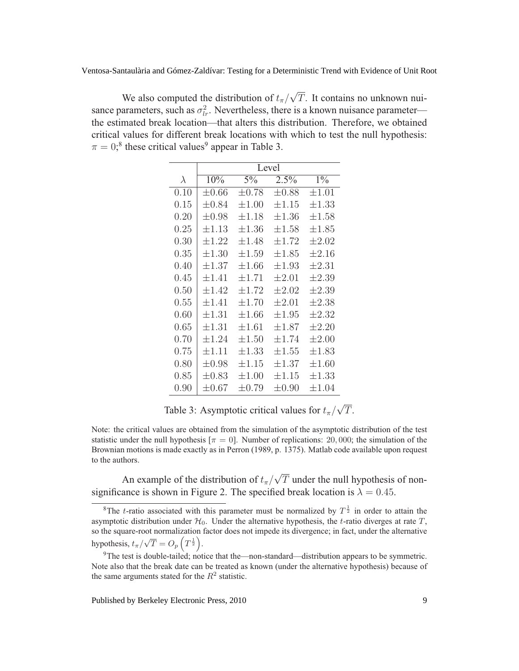We also computed the distribution of  $t_{\pi}/$ <br>parameters, such as  $\sigma^2$ . Nevertheless, there √  $T$ . It contains no unknown nui-<br>s a known nuisance parameter sance parameters, such as  $\sigma_{lr}^2$ . Nevertheless, there is a known nuisance parameter—<br>the estimated break location—that alters this distribution. Therefore, we obtained the estimated break location—that alters this distribution. Therefore, we obtained critical values for different break locations with which to test the null hypothesis:  $\pi = 0$ ;<sup>8</sup> these critical values<sup>9</sup> appear in Table 3.

|           | Level      |            |            |            |  |  |  |  |  |  |  |
|-----------|------------|------------|------------|------------|--|--|--|--|--|--|--|
| $\lambda$ | 10%        | 5%         | 2.5%       | $1\%$      |  |  |  |  |  |  |  |
| 0.10      | $\pm 0.66$ | $\pm 0.78$ | $\pm 0.88$ | $\pm 1.01$ |  |  |  |  |  |  |  |
| 0.15      | $\pm 0.84$ | $\pm 1.00$ | $\pm 1.15$ | $\pm 1.33$ |  |  |  |  |  |  |  |
| 0.20      | $\pm 0.98$ | $\pm 1.18$ | $\pm 1.36$ | $\pm 1.58$ |  |  |  |  |  |  |  |
| 0.25      | $\pm 1.13$ | $\pm 1.36$ | $\pm 1.58$ | $\pm 1.85$ |  |  |  |  |  |  |  |
| 0.30      | $\pm 1.22$ | $\pm 1.48$ | $\pm 1.72$ | $\pm 2.02$ |  |  |  |  |  |  |  |
| 0.35      | $\pm 1.30$ | $\pm 1.59$ | $\pm 1.85$ | $\pm 2.16$ |  |  |  |  |  |  |  |
| 0.40      | $\pm 1.37$ | $\pm 1.66$ | $\pm 1.93$ | $\pm 2.31$ |  |  |  |  |  |  |  |
| 0.45      | $\pm 1.41$ | $\pm 1.71$ | $\pm 2.01$ | $\pm 2.39$ |  |  |  |  |  |  |  |
| 0.50      | $+1.42$    | $\pm 1.72$ | $\pm 2.02$ | $\pm 2.39$ |  |  |  |  |  |  |  |
| 0.55      | $\pm 1.41$ | $\pm 1.70$ | $\pm 2.01$ | $\pm 2.38$ |  |  |  |  |  |  |  |
| 0.60      | $\pm 1.31$ | $\pm 1.66$ | $\pm 1.95$ | $\pm 2.32$ |  |  |  |  |  |  |  |
| 0.65      | $\pm 1.31$ | $\pm 1.61$ | $\pm 1.87$ | $\pm 2.20$ |  |  |  |  |  |  |  |
| 0.70      | $\pm 1.24$ | $\pm 1.50$ | $\pm 1.74$ | $\pm 2.00$ |  |  |  |  |  |  |  |
| 0.75      | $\pm 1.11$ | $\pm 1.33$ | $\pm 1.55$ | $\pm 1.83$ |  |  |  |  |  |  |  |
| 0.80      | $\pm 0.98$ | $\pm 1.15$ | $\pm 1.37$ | $\pm 1.60$ |  |  |  |  |  |  |  |
| 0.85      | $\pm 0.83$ | $\pm 1.00$ | $\pm 1.15$ | $\pm 1.33$ |  |  |  |  |  |  |  |
| 0.90      | $\pm 0.67$ | $\pm 0.79$ | $\pm 0.90$ | $\pm 1.04$ |  |  |  |  |  |  |  |
|           |            |            |            |            |  |  |  |  |  |  |  |

Table 3: Asymptotic critical values for  $t_{\pi}$ / √ T.

Note: the critical values are obtained from the simulation of the asymptotic distribution of the test statistic under the null hypothesis  $[\pi = 0]$ . Number of replications: 20,000; the simulation of the Brownian motions is made exactly as in Perron (1989, p. 1375). Matlab code available upon request to the authors.

An example of the distribution of  $t_{\pi}/$ <br>ance is shown in Figure 2. The specify √ T under the null hypothesis of non-<br>d break location is  $\lambda = 0.45$ significance is shown in Figure 2. The specified break location is  $\lambda = 0.45$ .

<sup>&</sup>lt;sup>8</sup>The *t*-ratio associated with this parameter must be normalized by  $T^{\frac{1}{2}}$  in order to attain the asymptotic distribution under  $H_0$ . Under the alternative hypothesis, the t-ratio diverges at rate  $T$ , so the square-root normalization factor does not impede its divergence; in fact, under the alternative hypothesis,  $t_{\pi}/$ √  $\overline{T} = O_p\left(T^{\frac{1}{2}}\right).$ 

<sup>9</sup>The test is double-tailed; notice that the—non-standard—distribution appears to be symmetric. Note also that the break date can be treated as known (under the alternative hypothesis) because of the same arguments stated for the  $R^2$  statistic.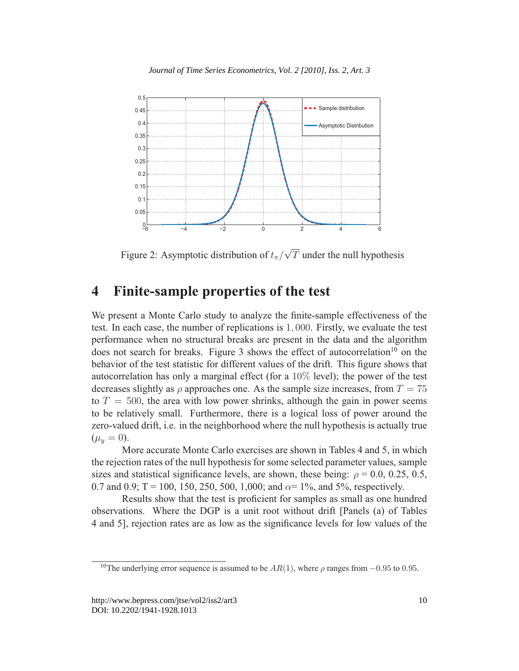



Figure 2: Asymptotic distribution of  $t_{\pi}/$ √  $T$  under the null hypothesis

## **4 Finite-sample properties of the test**

We present a Monte Carlo study to analyze the finite-sample effectiveness of the test. In each case, the number of replications is <sup>1</sup>, <sup>000</sup>. Firstly, we evaluate the test performance when no structural breaks are present in the data and the algorithm does not search for breaks. Figure 3 shows the effect of autocorrelation<sup>10</sup> on the behavior of the test statistic for different values of the drift. This figure shows that autocorrelation has only a marginal effect (for a  $10\%$  level); the power of the test decreases slightly as  $\rho$  approaches one. As the sample size increases, from  $T = 75$ to  $T = 500$ , the area with low power shrinks, although the gain in power seems to be relatively small. Furthermore, there is a logical loss of power around the zero-valued drift, i.e. in the neighborhood where the null hypothesis is actually true  $(\mu_u = 0).$ 

More accurate Monte Carlo exercises are shown in Tables 4 and 5, in which the rejection rates of the null hypothesis for some selected parameter values, sample sizes and statistical significance levels, are shown, these being:  $\rho = 0.0, 0.25, 0.5,$ 0.7 and 0.9; T = 100, 150, 250, 500, 1,000; and  $\alpha$  = 1%, and 5%, respectively.

Results show that the test is proficient for samples as small as one hundred observations. Where the DGP is a unit root without drift [Panels (a) of Tables 4 and 5], rejection rates are as low as the significance levels for low values of the

<sup>&</sup>lt;sup>10</sup>The underlying error sequence is assumed to be  $AR(1)$ , where  $\rho$  ranges from  $-0.95$  to 0.95.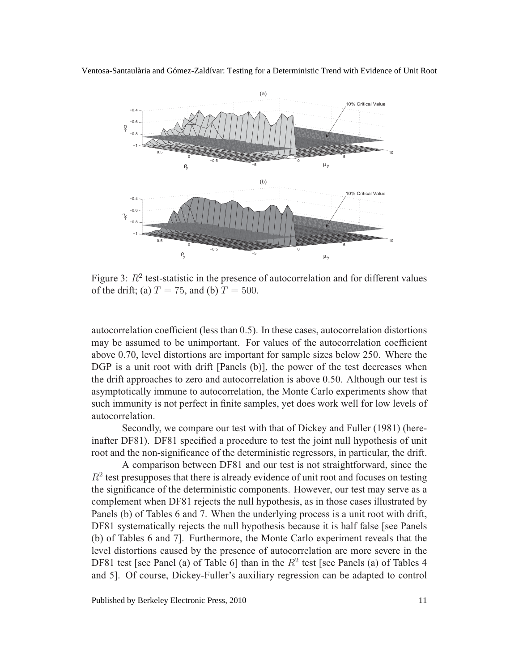

Figure 3:  $R^2$  test-statistic in the presence of autocorrelation and for different values of the drift; (a)  $T = 75$ , and (b)  $T = 500$ .

autocorrelation coefficient (less than 0.5). In these cases, autocorrelation distortions may be assumed to be unimportant. For values of the autocorrelation coefficient above 0.70, level distortions are important for sample sizes below 250. Where the DGP is a unit root with drift [Panels (b)], the power of the test decreases when the drift approaches to zero and autocorrelation is above 0.50. Although our test is asymptotically immune to autocorrelation, the Monte Carlo experiments show that such immunity is not perfect in finite samples, yet does work well for low levels of autocorrelation.

Secondly, we compare our test with that of Dickey and Fuller (1981) (hereinafter DF81). DF81 specified a procedure to test the joint null hypothesis of unit root and the non-significance of the deterministic regressors, in particular, the drift.

A comparison between DF81 and our test is not straightforward, since the  $R<sup>2</sup>$  test presupposes that there is already evidence of unit root and focuses on testing the significance of the deterministic components. However, our test may serve as a complement when DF81 rejects the null hypothesis, as in those cases illustrated by Panels (b) of Tables 6 and 7. When the underlying process is a unit root with drift, DF81 systematically rejects the null hypothesis because it is half false [see Panels (b) of Tables 6 and 7]. Furthermore, the Monte Carlo experiment reveals that the level distortions caused by the presence of autocorrelation are more severe in the DF81 test [see Panel (a) of Table 6] than in the  $R^2$  test [see Panels (a) of Tables 4 and 5]. Of course, Dickey-Fuller's auxiliary regression can be adapted to control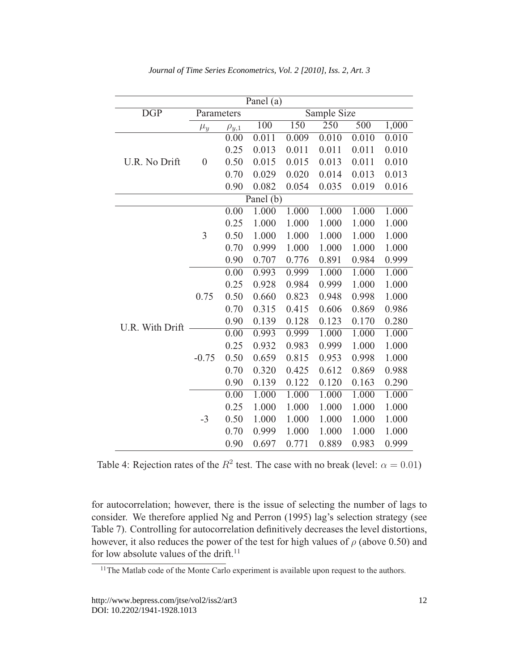| Panel (a)        |                  |              |             |       |                  |       |       |
|------------------|------------------|--------------|-------------|-------|------------------|-------|-------|
| $\overline{DGP}$ | Parameters       |              | Sample Size |       |                  |       |       |
|                  | $\mu_y$          | $\rho_{y,1}$ | 100         | 150   | $\overline{250}$ | 500   | 1,000 |
|                  |                  | 0.00         | 0.011       | 0.009 | 0.010            | 0.010 | 0.010 |
|                  |                  | 0.25         | 0.013       | 0.011 | 0.011            | 0.011 | 0.010 |
| U.R. No Drift    | $\boldsymbol{0}$ | 0.50         | 0.015       | 0.015 | 0.013            | 0.011 | 0.010 |
|                  |                  | 0.70         | 0.029       | 0.020 | 0.014            | 0.013 | 0.013 |
|                  |                  | 0.90         | 0.082       | 0.054 | 0.035            | 0.019 | 0.016 |
|                  |                  |              | Panel $(b)$ |       |                  |       |       |
|                  |                  | 0.00         | 1.000       | 1.000 | 1.000            | 1.000 | 1.000 |
|                  |                  | 0.25         | 1.000       | 1.000 | 1.000            | 1.000 | 1.000 |
|                  | 3                | 0.50         | 1.000       | 1.000 | 1.000            | 1.000 | 1.000 |
|                  |                  | 0.70         | 0.999       | 1.000 | 1.000            | 1.000 | 1.000 |
|                  |                  | 0.90         | 0.707       | 0.776 | 0.891            | 0.984 | 0.999 |
|                  | 0.75             | 0.00         | 0.993       | 0.999 | 1.000            | 1.000 | 1.000 |
|                  |                  | 0.25         | 0.928       | 0.984 | 0.999            | 1.000 | 1.000 |
|                  |                  | 0.50         | 0.660       | 0.823 | 0.948            | 0.998 | 1.000 |
|                  |                  | 0.70         | 0.315       | 0.415 | 0.606            | 0.869 | 0.986 |
| U.R. With Drift  |                  | 0.90         | 0.139       | 0.128 | 0.123            | 0.170 | 0.280 |
|                  |                  | 0.00         | 0.993       | 0.999 | 1.000            | 1.000 | 1.000 |
|                  |                  | 0.25         | 0.932       | 0.983 | 0.999            | 1.000 | 1.000 |
|                  | $-0.75$          | 0.50         | 0.659       | 0.815 | 0.953            | 0.998 | 1.000 |
|                  |                  | 0.70         | 0.320       | 0.425 | 0.612            | 0.869 | 0.988 |
|                  |                  | 0.90         | 0.139       | 0.122 | 0.120            | 0.163 | 0.290 |
|                  |                  | 0.00         | 1.000       | 1.000 | 1.000            | 1.000 | 1.000 |
|                  |                  | 0.25         | 1.000       | 1.000 | 1.000            | 1.000 | 1.000 |
|                  | $-3$             | 0.50         | 1.000       | 1.000 | 1.000            | 1.000 | 1.000 |
|                  |                  | 0.70         | 0.999       | 1.000 | 1.000            | 1.000 | 1.000 |
|                  |                  | 0.90         | 0.697       | 0.771 | 0.889            | 0.983 | 0.999 |

Table 4: Rejection rates of the  $R^2$  test. The case with no break (level:  $\alpha = 0.01$ )

for autocorrelation; however, there is the issue of selecting the number of lags to consider. We therefore applied Ng and Perron (1995) lag's selection strategy (see Table 7). Controlling for autocorrelation definitively decreases the level distortions, however, it also reduces the power of the test for high values of  $\rho$  (above 0.50) and for low absolute values of the drift. $11$ 

 $11$ The Matlab code of the Monte Carlo experiment is available upon request to the authors.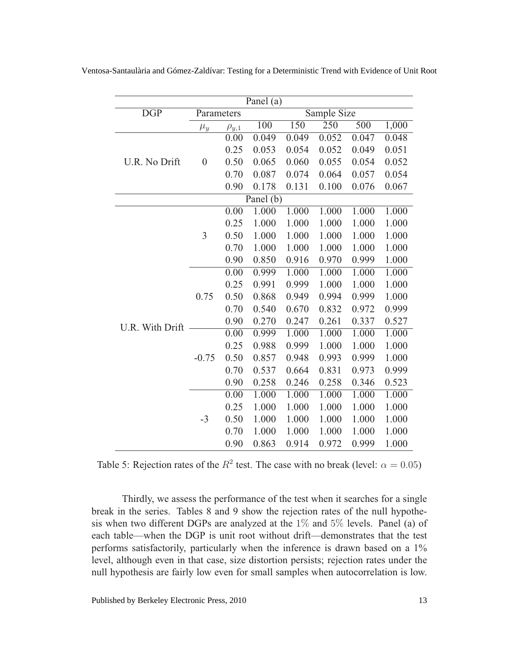| Panel (a)        |                  |              |             |       |                  |       |       |
|------------------|------------------|--------------|-------------|-------|------------------|-------|-------|
| $\overline{DGP}$ | Parameters       |              | Sample Size |       |                  |       |       |
|                  | $\mu_y$          | $\rho_{y,1}$ | 100         | 150   | $\overline{250}$ | 500   | 1,000 |
|                  |                  | 0.00         | 0.049       | 0.049 | 0.052            | 0.047 | 0.048 |
|                  |                  | 0.25         | 0.053       | 0.054 | 0.052            | 0.049 | 0.051 |
| U.R. No Drift    | $\boldsymbol{0}$ | 0.50         | 0.065       | 0.060 | 0.055            | 0.054 | 0.052 |
|                  |                  | 0.70         | 0.087       | 0.074 | 0.064            | 0.057 | 0.054 |
|                  |                  | 0.90         | 0.178       | 0.131 | 0.100            | 0.076 | 0.067 |
|                  |                  |              | Panel $(b)$ |       |                  |       |       |
|                  |                  | 0.00         | 1.000       | 1.000 | 1.000            | 1.000 | 1.000 |
|                  |                  | 0.25         | 1.000       | 1.000 | 1.000            | 1.000 | 1.000 |
|                  | $\overline{3}$   | 0.50         | 1.000       | 1.000 | 1.000            | 1.000 | 1.000 |
|                  |                  | 0.70         | 1.000       | 1.000 | 1.000            | 1.000 | 1.000 |
|                  |                  | 0.90         | 0.850       | 0.916 | 0.970            | 0.999 | 1.000 |
|                  |                  | 0.00         | 0.999       | 1.000 | 1.000            | 1.000 | 1.000 |
|                  |                  | 0.25         | 0.991       | 0.999 | 1.000            | 1.000 | 1.000 |
|                  | 0.75             | 0.50         | 0.868       | 0.949 | 0.994            | 0.999 | 1.000 |
|                  |                  | 0.70         | 0.540       | 0.670 | 0.832            | 0.972 | 0.999 |
| U.R. With Drift  |                  | 0.90         | 0.270       | 0.247 | 0.261            | 0.337 | 0.527 |
|                  |                  | 0.00         | 0.999       | 1.000 | 1.000            | 1.000 | 1.000 |
|                  |                  | 0.25         | 0.988       | 0.999 | 1.000            | 1.000 | 1.000 |
|                  | $-0.75$          | 0.50         | 0.857       | 0.948 | 0.993            | 0.999 | 1.000 |
|                  |                  | 0.70         | 0.537       | 0.664 | 0.831            | 0.973 | 0.999 |
|                  |                  | 0.90         | 0.258       | 0.246 | 0.258            | 0.346 | 0.523 |
|                  |                  | 0.00         | 1.000       | 1.000 | 1.000            | 1.000 | 1.000 |
|                  |                  | 0.25         | 1.000       | 1.000 | 1.000            | 1.000 | 1.000 |
|                  | $-3$             | 0.50         | 1.000       | 1.000 | 1.000            | 1.000 | 1.000 |
|                  |                  | 0.70         | 1.000       | 1.000 | 1.000            | 1.000 | 1.000 |
|                  |                  | 0.90         | 0.863       | 0.914 | 0.972            | 0.999 | 1.000 |

Ventosa-Santaulària and Gómez-Zaldívar: Testing for a Deterministic Trend with Evidence of Unit Root

Table 5: Rejection rates of the  $R^2$  test. The case with no break (level:  $\alpha = 0.05$ )

Thirdly, we assess the performance of the test when it searches for a single break in the series. Tables 8 and 9 show the rejection rates of the null hypothesis when two different DGPs are analyzed at the  $1\%$  and  $5\%$  levels. Panel (a) of each table—when the DGP is unit root without drift—demonstrates that the test performs satisfactorily, particularly when the inference is drawn based on a 1% level, although even in that case, size distortion persists; rejection rates under the null hypothesis are fairly low even for small samples when autocorrelation is low.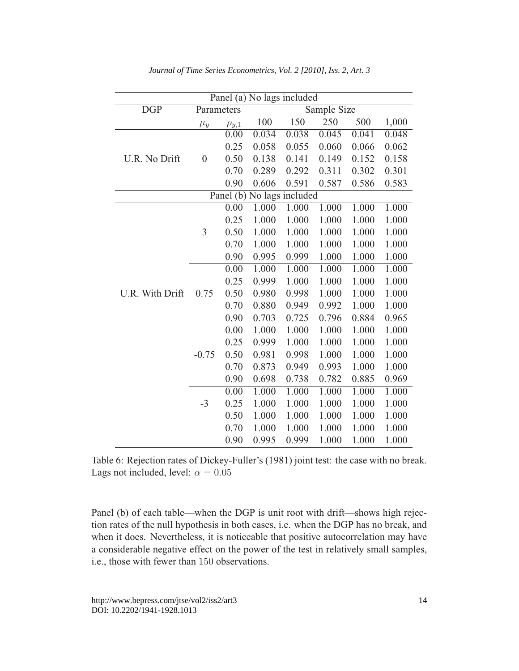|                  |              | Panel (a) No lags included |       |                  |                  |       |       |  |
|------------------|--------------|----------------------------|-------|------------------|------------------|-------|-------|--|
| $\overline{DGP}$ | Parameters   |                            |       | Sample Size      |                  |       |       |  |
|                  | $\mu_y$      | $\rho_{y,1}$               | 100   | 150              | $25\overline{0}$ | 500   | 1,000 |  |
|                  |              | 0.00                       | 0.034 | 0.038            | 0.045            | 0.041 | 0.048 |  |
|                  |              | 0.25                       | 0.058 | 0.055            | 0.060            | 0.066 | 0.062 |  |
| U.R. No Drift    | $\mathbf{0}$ | 0.50                       | 0.138 | 0.141            | 0.149            | 0.152 | 0.158 |  |
|                  |              | 0.70                       | 0.289 | 0.292            | 0.311            | 0.302 | 0.301 |  |
|                  |              | 0.90                       | 0.606 | 0.591            | 0.587            | 0.586 | 0.583 |  |
|                  |              | Panel $(b)$                |       | No lags included |                  |       |       |  |
|                  |              | 0.00                       | 1.000 | 1.000            | 1.000            | 1.000 | 1.000 |  |
|                  |              | 0.25                       | 1.000 | 1.000            | 1.000            | 1.000 | 1.000 |  |
|                  | 3            | 0.50                       | 1.000 | 1.000            | 1.000            | 1.000 | 1.000 |  |
|                  |              | 0.70                       | 1.000 | 1.000            | 1.000            | 1.000 | 1.000 |  |
|                  |              | 0.90                       | 0.995 | 0.999            | 1.000            | 1.000 | 1.000 |  |
|                  |              | 0.00                       | 1.000 | 1.000            | 1.000            | 1.000 | 1.000 |  |
|                  |              | 0.25                       | 0.999 | 1.000            | 1.000            | 1.000 | 1.000 |  |
| U.R. With Drift  | 0.75         | 0.50                       | 0.980 | 0.998            | 1.000            | 1.000 | 1.000 |  |
|                  |              | 0.70                       | 0.880 | 0.949            | 0.992            | 1.000 | 1.000 |  |
|                  |              | 0.90                       | 0.703 | 0.725            | 0.796            | 0.884 | 0.965 |  |
|                  |              | 0.00                       | 1.000 | 1.000            | 1.000            | 1.000 | 1.000 |  |
|                  |              | 0.25                       | 0.999 | 1.000            | 1.000            | 1.000 | 1.000 |  |
|                  | $-0.75$      | 0.50                       | 0.981 | 0.998            | 1.000            | 1.000 | 1.000 |  |
|                  |              | 0.70                       | 0.873 | 0.949            | 0.993            | 1.000 | 1.000 |  |
|                  |              | 0.90                       | 0.698 | 0.738            | 0.782            | 0.885 | 0.969 |  |
|                  |              | 0.00                       | 1.000 | 1.000            | 1.000            | 1.000 | 1.000 |  |
|                  | $-3$         | 0.25                       | 1.000 | 1.000            | 1.000            | 1.000 | 1.000 |  |
|                  |              | 0.50                       | 1.000 | 1.000            | 1.000            | 1.000 | 1.000 |  |
|                  |              | 0.70                       | 1.000 | 1.000            | 1.000            | 1.000 | 1.000 |  |
|                  |              | 0.90                       | 0.995 | 0.999            | 1.000            | 1.000 | 1.000 |  |

*Journal of Time Series Econometrics, Vol. 2 [2010], Iss. 2, Art. 3*

Table 6: Rejection rates of Dickey-Fuller's (1981) joint test: the case with no break. Lags not included, level:  $\alpha = 0.05$ 

Panel (b) of each table—when the DGP is unit root with drift—shows high rejection rates of the null hypothesis in both cases, i.e. when the DGP has no break, and when it does. Nevertheless, it is noticeable that positive autocorrelation may have a considerable negative effect on the power of the test in relatively small samples, i.e., those with fewer than 150 observations.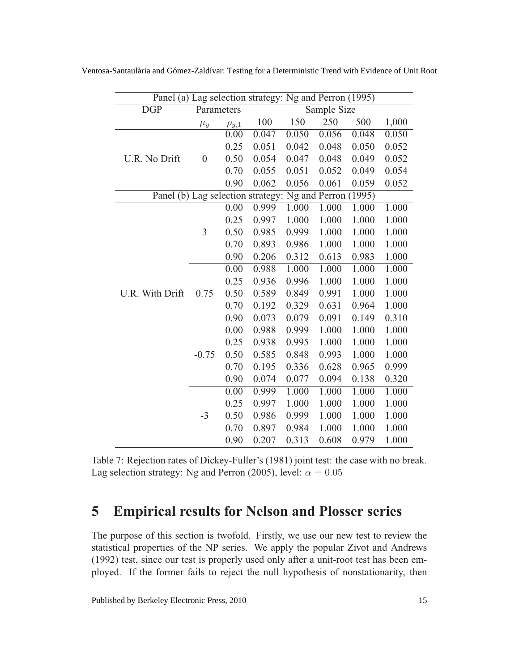| Panel (a) Lag selection strategy: Ng and Perron (1995) |                  |              |             |                  |                  |       |       |
|--------------------------------------------------------|------------------|--------------|-------------|------------------|------------------|-------|-------|
| <b>DGP</b>                                             | Parameters       |              | Sample Size |                  |                  |       |       |
|                                                        | $\mu_y$          | $\rho_{y,1}$ | 100         | $\overline{150}$ | $\overline{250}$ | 500   | 1,000 |
|                                                        |                  | 0.00         | 0.047       | 0.050            | 0.056            | 0.048 | 0.050 |
|                                                        |                  | 0.25         | 0.051       | 0.042            | 0.048            | 0.050 | 0.052 |
| U.R. No Drift                                          | $\boldsymbol{0}$ | 0.50         | 0.054       | 0.047            | 0.048            | 0.049 | 0.052 |
|                                                        |                  | 0.70         | 0.055       | 0.051            | 0.052            | 0.049 | 0.054 |
|                                                        |                  | 0.90         | 0.062       | 0.056            | 0.061            | 0.059 | 0.052 |
| Panel (b) Lag selection strategy: Ng and Perron (1995) |                  |              |             |                  |                  |       |       |
|                                                        |                  | 0.00         | 0.999       | 1.000            | 1.000            | 1.000 | 1.000 |
|                                                        |                  | 0.25         | 0.997       | 1.000            | 1.000            | 1.000 | 1.000 |
|                                                        | $\overline{3}$   | 0.50         | 0.985       | 0.999            | 1.000            | 1.000 | 1.000 |
|                                                        |                  | 0.70         | 0.893       | 0.986            | 1.000            | 1.000 | 1.000 |
|                                                        |                  | 0.90         | 0.206       | 0.312            | 0.613            | 0.983 | 1.000 |
|                                                        |                  | 0.00         | 0.988       | 1.000            | 1.000            | 1.000 | 1.000 |
|                                                        |                  | 0.25         | 0.936       | 0.996            | 1.000            | 1.000 | 1.000 |
| U.R. With Drift                                        | 0.75             | 0.50         | 0.589       | 0.849            | 0.991            | 1.000 | 1.000 |
|                                                        |                  | 0.70         | 0.192       | 0.329            | 0.631            | 0.964 | 1.000 |
|                                                        |                  | 0.90         | 0.073       | 0.079            | 0.091            | 0.149 | 0.310 |
|                                                        |                  | 0.00         | 0.988       | 0.999            | 1.000            | 1.000 | 1.000 |
|                                                        |                  | 0.25         | 0.938       | 0.995            | 1.000            | 1.000 | 1.000 |
|                                                        | $-0.75$          | 0.50         | 0.585       | 0.848            | 0.993            | 1.000 | 1.000 |
|                                                        |                  | 0.70         | 0.195       | 0.336            | 0.628            | 0.965 | 0.999 |
|                                                        |                  | 0.90         | 0.074       | 0.077            | 0.094            | 0.138 | 0.320 |
|                                                        |                  | 0.00         | 0.999       | 1.000            | 1.000            | 1.000 | 1.000 |
|                                                        |                  | 0.25         | 0.997       | 1.000            | 1.000            | 1.000 | 1.000 |
|                                                        | $-3$             | 0.50         | 0.986       | 0.999            | 1.000            | 1.000 | 1.000 |
|                                                        |                  | 0.70         | 0.897       | 0.984            | 1.000            | 1.000 | 1.000 |
|                                                        |                  | 0.90         | 0.207       | 0.313            | 0.608            | 0.979 | 1.000 |

Ventosa-Santaulària and Gómez-Zaldívar: Testing for a Deterministic Trend with Evidence of Unit Root

Table 7: Rejection rates of Dickey-Fuller's (1981) joint test: the case with no break. Lag selection strategy: Ng and Perron (2005), level:  $\alpha = 0.05$ 

## **5 Empirical results for Nelson and Plosser series**

The purpose of this section is twofold. Firstly, we use our new test to review the statistical properties of the NP series. We apply the popular Zivot and Andrews (1992) test, since our test is properly used only after a unit-root test has been employed. If the former fails to reject the null hypothesis of nonstationarity, then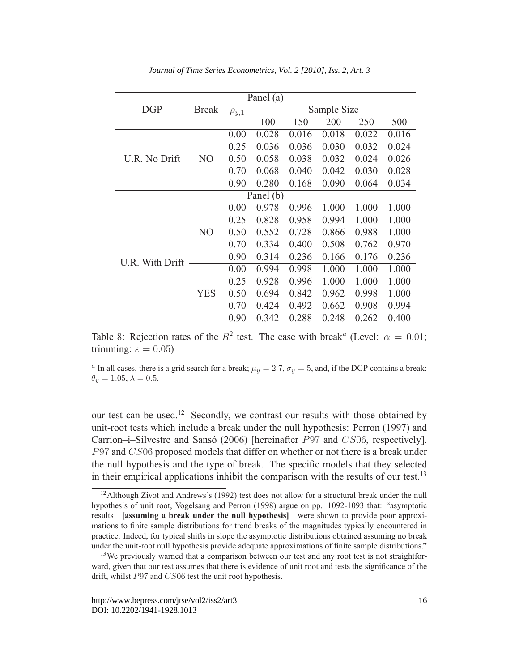| Panel (a)       |                |              |           |       |             |       |       |  |
|-----------------|----------------|--------------|-----------|-------|-------------|-------|-------|--|
| <b>DGP</b>      | <b>Break</b>   | $\rho_{y,1}$ |           |       | Sample Size |       |       |  |
|                 |                |              | 100       | 150   | 200         | 250   | 500   |  |
|                 |                | 0.00         | 0.028     | 0.016 | 0.018       | 0.022 | 0.016 |  |
|                 |                | 0.25         | 0.036     | 0.036 | 0.030       | 0.032 | 0.024 |  |
| U.R. No Drift   | N <sub>O</sub> | 0.50         | 0.058     | 0.038 | 0.032       | 0.024 | 0.026 |  |
|                 |                | 0.70         | 0.068     | 0.040 | 0.042       | 0.030 | 0.028 |  |
|                 |                | 0.90         | 0.280     | 0.168 | 0.090       | 0.064 | 0.034 |  |
|                 |                |              | Panel (b) |       |             |       |       |  |
|                 |                | 0.00         | 0.978     | 0.996 | 1.000       | 1.000 | 1.000 |  |
|                 |                | 0.25         | 0.828     | 0.958 | 0.994       | 1.000 | 1.000 |  |
|                 | N <sub>O</sub> | 0.50         | 0.552     | 0.728 | 0.866       | 0.988 | 1.000 |  |
|                 |                | 0.70         | 0.334     | 0.400 | 0.508       | 0.762 | 0.970 |  |
| U.R. With Drift |                | 0.90         | 0.314     | 0.236 | 0.166       | 0.176 | 0.236 |  |
|                 |                | 0.00         | 0.994     | 0.998 | 1.000       | 1.000 | 1.000 |  |
|                 |                | 0.25         | 0.928     | 0.996 | 1.000       | 1.000 | 1.000 |  |
|                 | <b>YES</b>     | 0.50         | 0.694     | 0.842 | 0.962       | 0.998 | 1.000 |  |
|                 |                | 0.70         | 0.424     | 0.492 | 0.662       | 0.908 | 0.994 |  |
|                 |                | 0.90         | 0.342     | 0.288 | 0.248       | 0.262 | 0.400 |  |

*Journal of Time Series Econometrics, Vol. 2 [2010], Iss. 2, Art. 3*

Table 8: Rejection rates of the  $R^2$  test. The case with break<sup>a</sup> (Level:  $\alpha = 0.01$ ; trimming:  $\varepsilon = 0.05$ )

<sup>a</sup> In all cases, there is a grid search for a break;  $\mu_y = 2.7$ ,  $\sigma_y = 5$ , and, if the DGP contains a break:  $\theta_u = 1.05, \lambda = 0.5.$ 

our test can be used.<sup>12</sup> Secondly, we contrast our results with those obtained by unit-root tests which include a break under the null hypothesis: Perron (1997) and Carrion–i–Silvestre and Sansó (2006) [hereinafter  $P97$  and  $CS06$ , respectively]. P97 and CS06 proposed models that differ on whether or not there is a break under the null hypothesis and the type of break. The specific models that they selected in their empirical applications inhibit the comparison with the results of our test.<sup>13</sup>

<sup>&</sup>lt;sup>12</sup>Although Zivot and Andrews's (1992) test does not allow for a structural break under the null hypothesis of unit root, Vogelsang and Perron (1998) argue on pp. 1092-1093 that: "asymptotic results—**[assuming a break under the null hypothesis]**—were shown to provide poor approximations to finite sample distributions for trend breaks of the magnitudes typically encountered in practice. Indeed, for typical shifts in slope the asymptotic distributions obtained assuming no break under the unit-root null hypothesis provide adequate approximations of finite sample distributions."

<sup>&</sup>lt;sup>13</sup>We previously warned that a comparison between our test and any root test is not straightforward, given that our test assumes that there is evidence of unit root and tests the significance of the drift, whilst P97 and CS06 test the unit root hypothesis.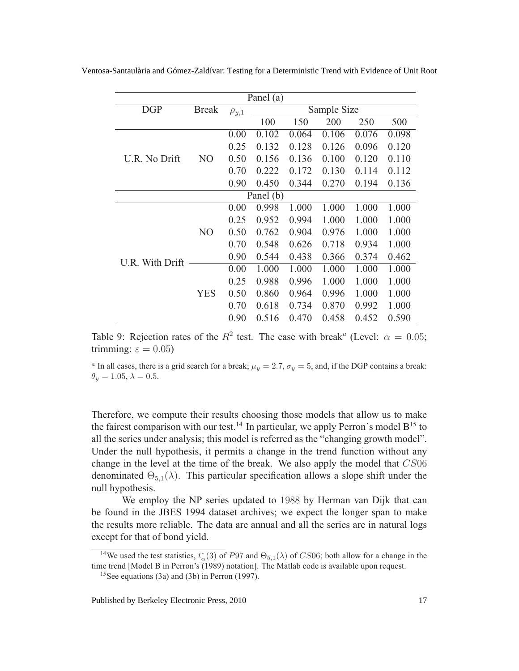| Panel (a)       |                |              |           |       |             |       |       |
|-----------------|----------------|--------------|-----------|-------|-------------|-------|-------|
| <b>DGP</b>      | <b>Break</b>   | $\rho_{y,1}$ |           |       | Sample Size |       |       |
|                 |                |              | 100       | 150   | 200         | 250   | 500   |
|                 |                | 0.00         | 0.102     | 0.064 | 0.106       | 0.076 | 0.098 |
|                 |                | 0.25         | 0.132     | 0.128 | 0.126       | 0.096 | 0.120 |
| U.R. No Drift   | N <sub>O</sub> | 0.50         | 0.156     | 0.136 | 0.100       | 0.120 | 0.110 |
|                 |                | 0.70         | 0.222     | 0.172 | 0.130       | 0.114 | 0.112 |
|                 |                | 0.90         | 0.450     | 0.344 | 0.270       | 0.194 | 0.136 |
|                 |                |              | Panel (b) |       |             |       |       |
|                 |                | 0.00         | 0.998     | 1.000 | 1.000       | 1.000 | 1.000 |
|                 |                | 0.25         | 0.952     | 0.994 | 1.000       | 1.000 | 1.000 |
|                 | N <sub>O</sub> | 0.50         | 0.762     | 0.904 | 0.976       | 1.000 | 1.000 |
|                 |                | 0.70         | 0.548     | 0.626 | 0.718       | 0.934 | 1.000 |
| U.R. With Drift |                | 0.90         | 0.544     | 0.438 | 0.366       | 0.374 | 0.462 |
|                 |                | 0.00         | 1.000     | 1.000 | 1.000       | 1.000 | 1.000 |
|                 |                | 0.25         | 0.988     | 0.996 | 1.000       | 1.000 | 1.000 |
|                 | <b>YES</b>     | 0.50         | 0.860     | 0.964 | 0.996       | 1.000 | 1.000 |
|                 |                | 0.70         | 0.618     | 0.734 | 0.870       | 0.992 | 1.000 |
|                 |                | 0.90         | 0.516     | 0.470 | 0.458       | 0.452 | 0.590 |

Ventosa-Santaulària and Gómez-Zaldívar: Testing for a Deterministic Trend with Evidence of Unit Root

Table 9: Rejection rates of the  $R^2$  test. The case with break<sup>a</sup> (Level:  $\alpha = 0.05$ ; trimming:  $\varepsilon = 0.05$ )

<sup>a</sup> In all cases, there is a grid search for a break;  $\mu_y = 2.7$ ,  $\sigma_y = 5$ , and, if the DGP contains a break:  $\theta_y = 1.05, \lambda = 0.5.$ 

Therefore, we compute their results choosing those models that allow us to make the fairest comparison with our test.<sup>14</sup> In particular, we apply Perron's model  $B^{15}$  to all the series under analysis; this model is referred as the "changing growth model". Under the null hypothesis, it permits a change in the trend function without any change in the level at the time of the break. We also apply the model that CS<sup>06</sup> denominated  $\Theta_{5,1}(\lambda)$ . This particular specification allows a slope shift under the null hypothesis.

We employ the NP series updated to 1988 by Herman van Dijk that can be found in the JBES 1994 dataset archives; we expect the longer span to make the results more reliable. The data are annual and all the series are in natural logs except for that of bond yield.

<sup>&</sup>lt;sup>14</sup>We used the test statistics,  $t^*_{\alpha}(3)$  of P97 and  $\Theta_{5,1}(\lambda)$  of CS06; both allow for a change in the time trend [Model B in Perron's (1989) notation]. The Matlab code is available upon request.

<sup>&</sup>lt;sup>15</sup>See equations (3a) and (3b) in Perron (1997).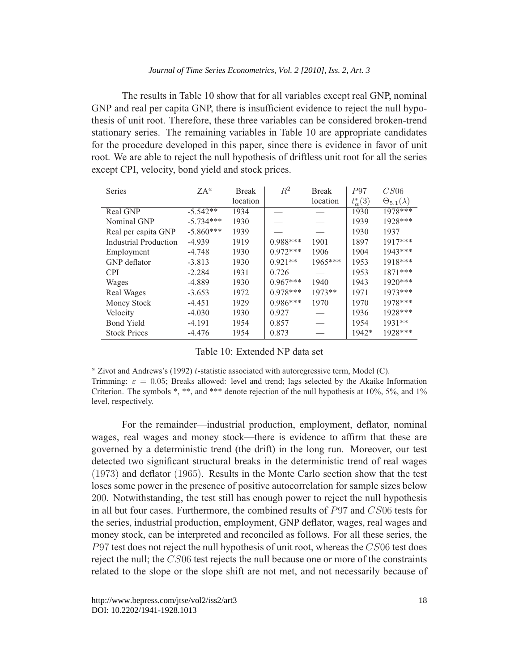#### *Journal of Time Series Econometrics, Vol. 2 [2010], Iss. 2, Art. 3*

The results in Table 10 show that for all variables except real GNP, nominal GNP and real per capita GNP, there is insufficient evidence to reject the null hypothesis of unit root. Therefore, these three variables can be considered broken-trend stationary series. The remaining variables in Table 10 are appropriate candidates for the procedure developed in this paper, since there is evidence in favor of unit root. We are able to reject the null hypothesis of driftless unit root for all the series except CPI, velocity, bond yield and stock prices.

| Series                | $ZA^a$      | <b>Break</b> | $R^2$      | <b>Break</b> | P97               | CS <sub>06</sub>        |
|-----------------------|-------------|--------------|------------|--------------|-------------------|-------------------------|
|                       |             | location     |            | location     | $t^*_{\alpha}(3)$ | $\Theta_{5,1}(\lambda)$ |
| Real GNP              | $-5.542**$  | 1934         |            |              | 1930              | 1978***                 |
| Nominal GNP           | $-5.734***$ | 1930         |            |              | 1939              | 1928 ***                |
| Real per capita GNP   | $-5.860***$ | 1939         |            |              | 1930              | 1937                    |
| Industrial Production | $-4.939$    | 1919         | $0.988***$ | 1901         | 1897              | $1917***$               |
| Employment            | $-4.748$    | 1930         | $0.972***$ | 1906         | 1904              | $1943***$               |
| GNP deflator          | $-3.813$    | 1930         | $0.921**$  | $1965***$    | 1953              | 1918***                 |
| <b>CPI</b>            | $-2.284$    | 1931         | 0.726      |              | 1953              | 1871***                 |
| Wages                 | $-4.889$    | 1930         | $0.967***$ | 1940         | 1943              | $1920***$               |
| Real Wages            | $-3.653$    | 1972         | $0.978***$ | $1973**$     | 1971              | $1973***$               |
| Money Stock           | $-4.451$    | 1929         | $0.986***$ | 1970         | 1970              | 1978***                 |
| Velocity              | $-4.030$    | 1930         | 0.927      |              | 1936              | 1928***                 |
| Bond Yield            | $-4.191$    | 1954         | 0.857      |              | 1954              | 1931**                  |
| <b>Stock Prices</b>   | $-4.476$    | 1954         | 0.873      |              | 1942*             | $1928***$               |

#### Table 10: Extended NP data set

 $a$  Zivot and Andrews's (1992) t-statistic associated with autoregressive term, Model (C). Trimming:  $\varepsilon = 0.05$ ; Breaks allowed: level and trend; lags selected by the Akaike Information Criterion. The symbols \*, \*\*, and \*\*\* denote rejection of the null hypothesis at 10%, 5%, and 1% level, respectively.

For the remainder—industrial production, employment, deflator, nominal wages, real wages and money stock—there is evidence to affirm that these are governed by a deterministic trend (the drift) in the long run. Moreover, our test detected two significant structural breaks in the deterministic trend of real wages (1973) and deflator (1965). Results in the Monte Carlo section show that the test loses some power in the presence of positive autocorrelation for sample sizes below 200. Notwithstanding, the test still has enough power to reject the null hypothesis in all but four cases. Furthermore, the combined results of P<sup>97</sup> and CS<sup>06</sup> tests for the series, industrial production, employment, GNP deflator, wages, real wages and money stock, can be interpreted and reconciled as follows. For all these series, the P97 test does not reject the null hypothesis of unit root, whereas the CS06 test does reject the null; the CS<sup>06</sup> test rejects the null because one or more of the constraints related to the slope or the slope shift are not met, and not necessarily because of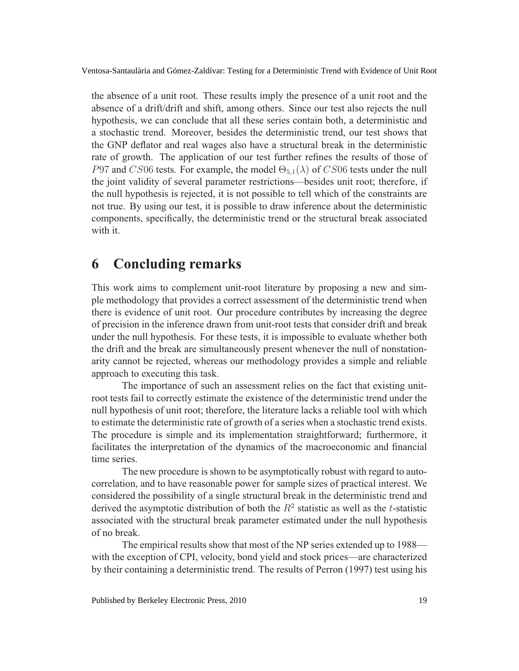the absence of a unit root. These results imply the presence of a unit root and the absence of a drift/drift and shift, among others. Since our test also rejects the null hypothesis, we can conclude that all these series contain both, a deterministic and a stochastic trend. Moreover, besides the deterministic trend, our test shows that the GNP deflator and real wages also have a structural break in the deterministic rate of growth. The application of our test further refines the results of those of P97 and CS06 tests. For example, the model  $\Theta_{5,1}(\lambda)$  of CS06 tests under the null the joint validity of several parameter restrictions—besides unit root; therefore, if the null hypothesis is rejected, it is not possible to tell which of the constraints are not true. By using our test, it is possible to draw inference about the deterministic components, specifically, the deterministic trend or the structural break associated with it.

## **6 Concluding remarks**

This work aims to complement unit-root literature by proposing a new and simple methodology that provides a correct assessment of the deterministic trend when there is evidence of unit root. Our procedure contributes by increasing the degree of precision in the inference drawn from unit-root tests that consider drift and break under the null hypothesis. For these tests, it is impossible to evaluate whether both the drift and the break are simultaneously present whenever the null of nonstationarity cannot be rejected, whereas our methodology provides a simple and reliable approach to executing this task.

The importance of such an assessment relies on the fact that existing unitroot tests fail to correctly estimate the existence of the deterministic trend under the null hypothesis of unit root; therefore, the literature lacks a reliable tool with which to estimate the deterministic rate of growth of a series when a stochastic trend exists. The procedure is simple and its implementation straightforward; furthermore, it facilitates the interpretation of the dynamics of the macroeconomic and financial time series.

The new procedure is shown to be asymptotically robust with regard to autocorrelation, and to have reasonable power for sample sizes of practical interest. We considered the possibility of a single structural break in the deterministic trend and derived the asymptotic distribution of both the  $R^2$  statistic as well as the t-statistic associated with the structural break parameter estimated under the null hypothesis of no break.

The empirical results show that most of the NP series extended up to 1988 with the exception of CPI, velocity, bond yield and stock prices—are characterized by their containing a deterministic trend. The results of Perron (1997) test using his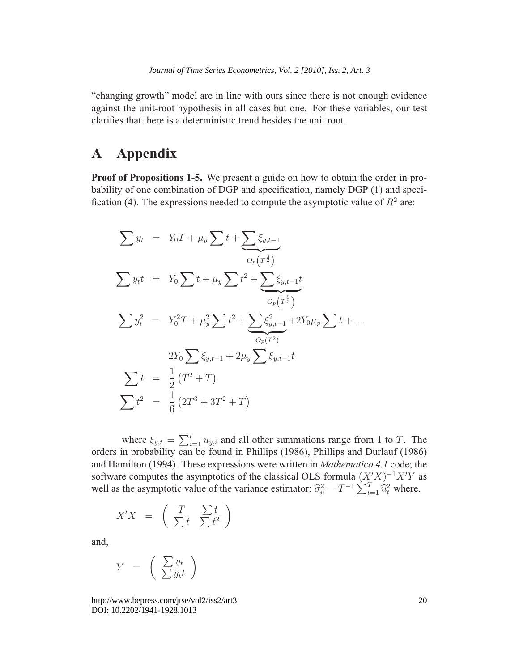"changing growth" model are in line with ours since there is not enough evidence against the unit-root hypothesis in all cases but one. For these variables, our test clarifies that there is a deterministic trend besides the unit root.

## **A Appendix**

**Proof of Propositions 1-5.** We present a guide on how to obtain the order in probability of one combination of DGP and specification, namely DGP (1) and specification (4). The expressions needed to compute the asymptotic value of  $R^2$  are:

$$
\sum y_t = Y_0 T + \mu_y \sum t + \sum \xi_{y,t-1}
$$
\n
$$
\sum y_t t = Y_0 \sum t + \mu_y \sum t^2 + \sum \xi_{y,t-1} t
$$
\n
$$
\sum y_t^2 = Y_0^2 T + \mu_y^2 \sum t^2 + \sum \xi_{y,t-1}^2 + 2Y_0 \mu_y \sum t + ...
$$
\n
$$
2Y_0 \sum \xi_{y,t-1} + 2\mu_y \sum \xi_{y,t-1} t
$$
\n
$$
\sum t = \frac{1}{2} (T^2 + T)
$$
\n
$$
\sum t^2 = \frac{1}{6} (2T^3 + 3T^2 + T)
$$

where  $\xi_{y,t} = \sum_{i=1}^{t} u_{y,i}$  and all other summations range from 1 to T. The<br>in probability can be found in Phillips (1986). Phillips and Durlauf (1986). orders in probability can be found in Phillips (1986), Phillips and Durlauf (1986) and Hamilton (1994). These expressions were written in *Mathematica 4.1* code; the software computes the asymptotics of the classical OLS formula  $(X'X)^{-1}X'Y$  as well as the asymptotic value of the variance estimator:  $\hat{\sigma}^2 = T^{-1} \sum_{i=1}^{T} \hat{\mu}^2$  where well as the asymptotic value of the variance estimator:  $\hat{\sigma}_u^2 = T^{-1} \sum_{t=1}^{T} \hat{u}_t^2$  where.

$$
X'X = \left(\begin{array}{cc} T & \sum t \\ \sum t & \sum t^2 \end{array}\right)
$$

and,

$$
Y = \left(\begin{array}{c} \sum y_t \\ \sum y_t t \end{array}\right)
$$

http://www.bepress.com/jtse/vol2/iss2/art3 DOI: 10.2202/1941-1928.1013

20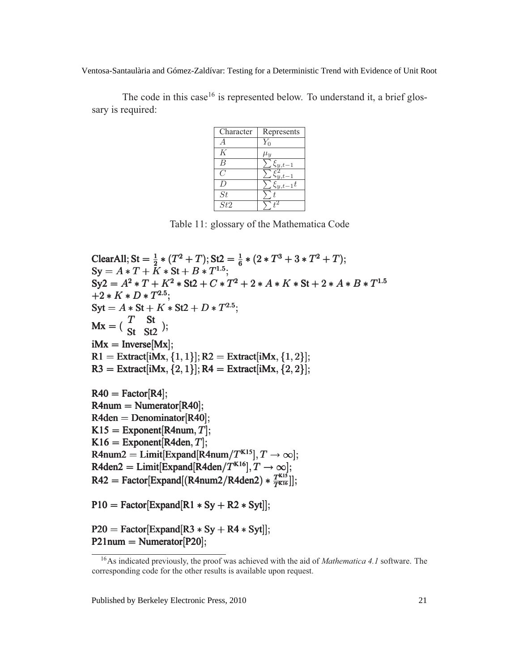The code in this case<sup>16</sup> is represented below. To understand it, a brief glossary is required:

| Character      | Represents           |
|----------------|----------------------|
| $\overline{A}$ | $Y_0$                |
| К              | $\mu_y$              |
| В              | $\xi_{y,t-1}$        |
| U              | $\overline{5y}, t-1$ |
| $\overline{D}$ | $\xi_{y,t-1}t$       |
| St             |                      |
| St2            |                      |

Table 11: glossary of the Mathematica Code

ClearAll; St =  $\frac{1}{2} * (T^2 + T)$ ; St2 =  $\frac{1}{6} * (2 * T^3 + 3 * T^2 + T)$ ;<br>Sv -  $4 * T + K * S + R * T^{1.5}$ .  $Sy = A * T + \hat{K} * St + B * T^{1.5};$  $Sy2 = A^2 * T + K^2 * St2 + C * T^2 + 2 * A * K * St + 2 * A * B * T^{1.5}$  $+2 * K * D * T^{2.5};$  $Syt = A * St + K * St2 + D * T^{2.5};$  $Mx = (\begin{array}{cc} T & \text{St} \\ \text{St} & \text{St2} \end{array});$  $i$ Mx = Inverse[Mx];  $R1 =$  Extract[iMx, {1, 1}];  $R2 =$  Extract[iMx, {1, 2}];  $R3 =$  Extract[iMx, {2, 1}];  $R4 =$  Extract[iMx, {2, 2}];  $R40 = Factor[R4]$ ;  $R4num = Numerator[R40];$  $R4den = Denominator[R40];$  $K15 =$  Exponent [R4num, T];  $K16 =$  Exponent [R4den, T];  $\text{R4num2} = \text{Limit}[\text{Expand}[\text{R4num}/T^{\text{K15}}], T \rightarrow \infty];$  $R4den2 = Limit[Expand[R4den/T<sup>K16</sup>], T \rightarrow \infty];$  $R42 = Factor[Expand[(R4num2/R4den2) *  $\frac{T^{K15}}{T^{K16}}]]$ ;$  $P10 = Factor[Expand[R1 * Sy + R2 * Syt]];$  $P20 = Factor[Expand[R3 * Sy + R4 * Syt]$ ;  $P21num = Numerator[P20];$ 

<sup>16</sup>As indicated previously, the proof was achieved with the aid of *Mathematica 4.1* software. The corresponding code for the other results is available upon request.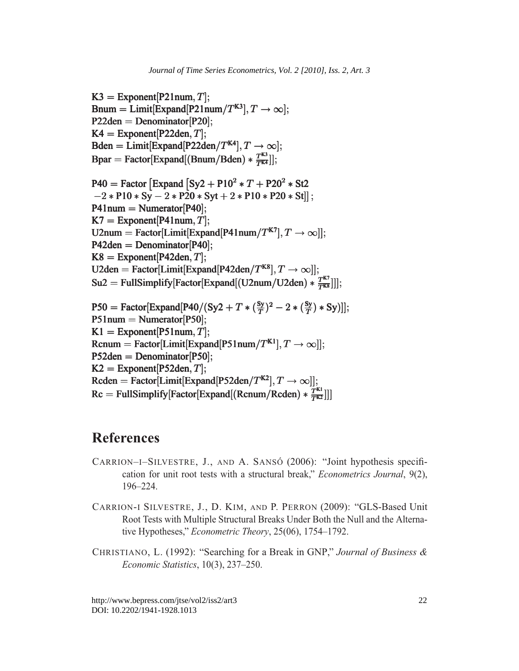```
K3 = Exponent[P21num, T];Bnum = Limit[Expand[P21num/T<sup>K3</sup>], T \rightarrow \infty];
P22den = Denominator[P20];K4 = Exponent[P22den, T];Bden = Limit[Expand[P22den/T<sup>K4</sup>], T \rightarrow \infty];
Bpar = Factor[Expand[(Bnum/Bden) * T^{K3}_{T^{K4}}]];P40 = Factor \left[ \text{Expand} \left[ \text{Sy2} + \text{P10}^2 * T + \text{P20}^2 * \text{St2} \right] - 2 * \text{P10} * \text{Sy2} + \text{P20} * \text{Syt} + 2 * \text{P10} * \text{P20} * \text{Stl} \right]-2 * P10 * Sy - 2 * P20 * Syt + 2 * P10 * P20 * St ;
P41num = Numerator[P40];K7 = Exponent[P41num, T];U2num = Factor[Limit[Expand[P41num/T<sup>K7</sup>], T \rightarrow \infty]];
P42den = Denominator[P40];K8 = Exponent[P42den, T];U2den = Factor[Limit [Expand [P42den/T^{K8}], T \rightarrow \infty]];
Su2 = FullSimplify[Factor[Expand[(U2num/U2den) * T<sup>K7</sup>]/];P50 = Factor[Expand[P40/(Sy2 + T * (<math>\frac{Sy}{T}</math>)<sup>2</sup> – 2 * (<math>\frac{Sy}{T}</math>) * Sy)];<br>P51 num – Numerator[PS0].P51num = Numerator[P50];K1 = Exponent[P51num, T];Rcnum = Factor[Limit[Expand[P51num/T<sup>K1</sup>], T \rightarrow \infty]];
P52den = Denominator[P50];K2 = Exponent[P52den, T];Rcden = Factor[Limit[Expand[P52den/T<sup>K2</sup>], T \rightarrow \infty]];\text{Rc} = \text{FullSimplify}[\text{Factor}[\text{Expand}](\text{Renum}/\text{Reden}) * \frac{T^{K1}}{T^{K2}}]]]
```
## **References**

- CARRION–I–SILVESTRE, J., AND A. SANSÓ (2006): "Joint hypothesis specification for unit root tests with a structural break," *Econometrics Journal*, 9(2), 196–224.
- CARRION-I SILVESTRE, J., D. KIM, AND P. PERRON (2009): "GLS-Based Unit Root Tests with Multiple Structural Breaks Under Both the Null and the Alternative Hypotheses," *Econometric Theory*, 25(06), 1754–1792.
- CHRISTIANO, L. (1992): "Searching for a Break in GNP," *Journal of Business & Economic Statistics*, 10(3), 237–250.

http://www.bepress.com/jtse/vol2/iss2/art3 DOI: 10.2202/1941-1928.1013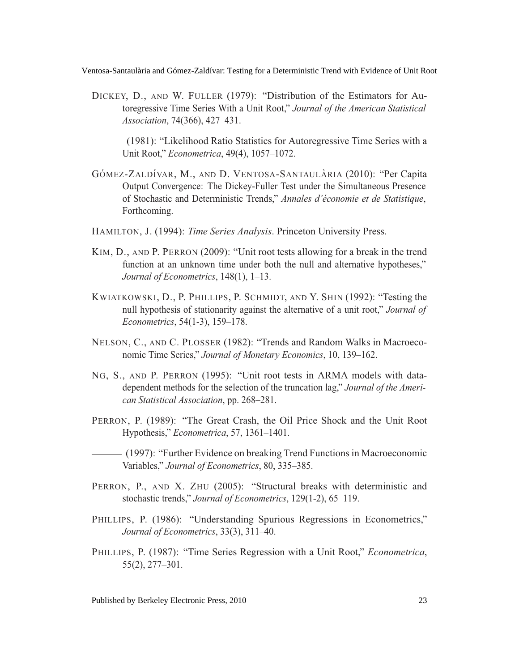- DICKEY, D., AND W. FULLER (1979): "Distribution of the Estimators for Autoregressive Time Series With a Unit Root," *Journal of the American Statistical Association*, 74(366), 427–431.
- (1981): "Likelihood Ratio Statistics for Autoregressive Time Series with a Unit Root," *Econometrica*, 49(4), 1057–1072.
- GÓMEZ-ZALDÍVAR, M., AND D. VENTOSA-SANTAULÀRIA (2010): "Per Capita Output Convergence: The Dickey-Fuller Test under the Simultaneous Presence of Stochastic and Deterministic Trends," *Annales d'economie et de Statistique ´* , Forthcoming.
- HAMILTON, J. (1994): *Time Series Analysis*. Princeton University Press.
- KIM, D., AND P. PERRON (2009): "Unit root tests allowing for a break in the trend function at an unknown time under both the null and alternative hypotheses," *Journal of Econometrics*, 148(1), 1–13.
- KWIATKOWSKI, D., P. PHILLIPS, P. SCHMIDT, AND Y. SHIN (1992): "Testing the null hypothesis of stationarity against the alternative of a unit root," *Journal of Econometrics*, 54(1-3), 159–178.
- NELSON, C., AND C. PLOSSER (1982): "Trends and Random Walks in Macroeconomic Time Series," *Journal of Monetary Economics*, 10, 139–162.
- NG, S., AND P. PERRON (1995): "Unit root tests in ARMA models with datadependent methods for the selection of the truncation lag," *Journal of the American Statistical Association*, pp. 268–281.
- PERRON, P. (1989): "The Great Crash, the Oil Price Shock and the Unit Root Hypothesis," *Econometrica*, 57, 1361–1401.
- (1997): "Further Evidence on breaking Trend Functions in Macroeconomic Variables," *Journal of Econometrics*, 80, 335–385.
- PERRON, P., AND X. ZHU (2005): "Structural breaks with deterministic and stochastic trends," *Journal of Econometrics*, 129(1-2), 65–119.
- PHILLIPS, P. (1986): "Understanding Spurious Regressions in Econometrics," *Journal of Econometrics*, 33(3), 311–40.
- PHILLIPS, P. (1987): "Time Series Regression with a Unit Root," *Econometrica*, 55(2), 277–301.